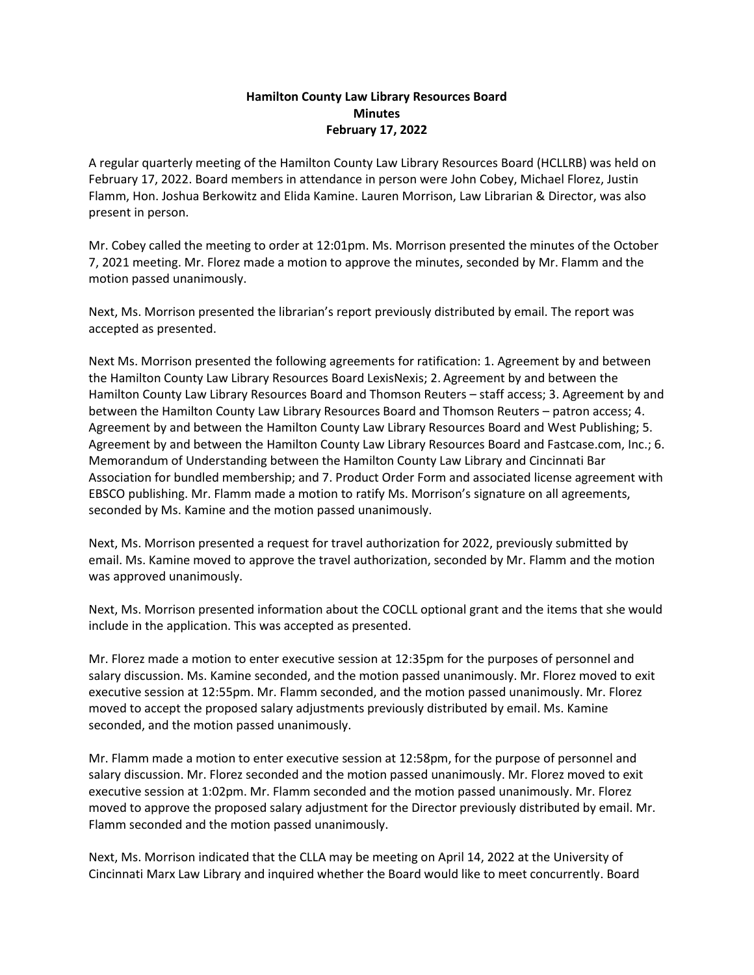## **Hamilton County Law Library Resources Board Minutes February 17, 2022**

A regular quarterly meeting of the Hamilton County Law Library Resources Board (HCLLRB) was held on February 17, 2022. Board members in attendance in person were John Cobey, Michael Florez, Justin Flamm, Hon. Joshua Berkowitz and Elida Kamine. Lauren Morrison, Law Librarian & Director, was also present in person.

Mr. Cobey called the meeting to order at 12:01pm. Ms. Morrison presented the minutes of the October 7, 2021 meeting. Mr. Florez made a motion to approve the minutes, seconded by Mr. Flamm and the motion passed unanimously.

Next, Ms. Morrison presented the librarian's report previously distributed by email. The report was accepted as presented.

Next Ms. Morrison presented the following agreements for ratification: 1. Agreement by and between the Hamilton County Law Library Resources Board LexisNexis; 2. Agreement by and between the Hamilton County Law Library Resources Board and Thomson Reuters – staff access; 3. Agreement by and between the Hamilton County Law Library Resources Board and Thomson Reuters – patron access; 4. Agreement by and between the Hamilton County Law Library Resources Board and West Publishing; 5. Agreement by and between the Hamilton County Law Library Resources Board and Fastcase.com, Inc.; 6. Memorandum of Understanding between the Hamilton County Law Library and Cincinnati Bar Association for bundled membership; and 7. Product Order Form and associated license agreement with EBSCO publishing. Mr. Flamm made a motion to ratify Ms. Morrison's signature on all agreements, seconded by Ms. Kamine and the motion passed unanimously.

Next, Ms. Morrison presented a request for travel authorization for 2022, previously submitted by email. Ms. Kamine moved to approve the travel authorization, seconded by Mr. Flamm and the motion was approved unanimously.

Next, Ms. Morrison presented information about the COCLL optional grant and the items that she would include in the application. This was accepted as presented.

Mr. Florez made a motion to enter executive session at 12:35pm for the purposes of personnel and salary discussion. Ms. Kamine seconded, and the motion passed unanimously. Mr. Florez moved to exit executive session at 12:55pm. Mr. Flamm seconded, and the motion passed unanimously. Mr. Florez moved to accept the proposed salary adjustments previously distributed by email. Ms. Kamine seconded, and the motion passed unanimously.

Mr. Flamm made a motion to enter executive session at 12:58pm, for the purpose of personnel and salary discussion. Mr. Florez seconded and the motion passed unanimously. Mr. Florez moved to exit executive session at 1:02pm. Mr. Flamm seconded and the motion passed unanimously. Mr. Florez moved to approve the proposed salary adjustment for the Director previously distributed by email. Mr. Flamm seconded and the motion passed unanimously.

Next, Ms. Morrison indicated that the CLLA may be meeting on April 14, 2022 at the University of Cincinnati Marx Law Library and inquired whether the Board would like to meet concurrently. Board